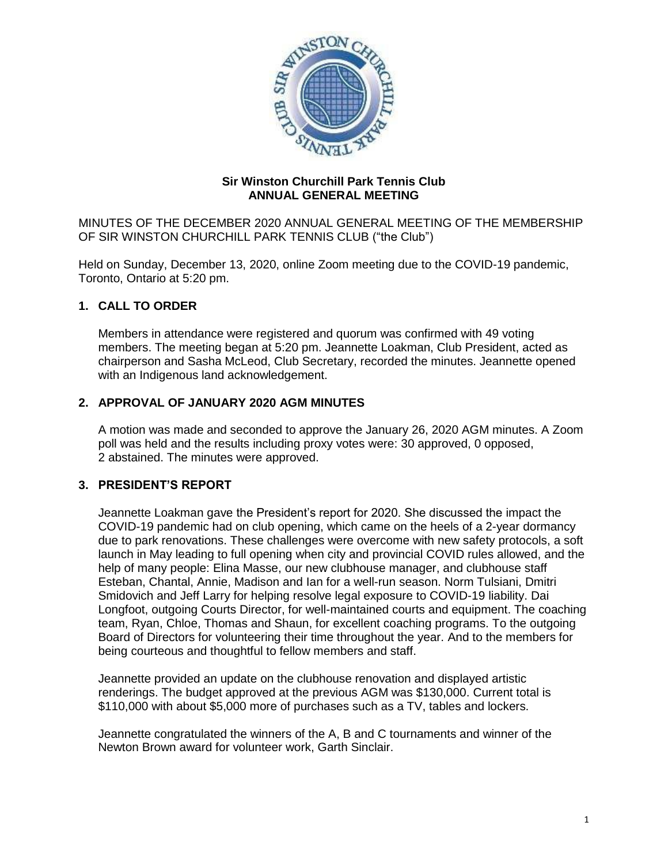

### **Sir Winston Churchill Park Tennis Club ANNUAL GENERAL MEETING**

MINUTES OF THE DECEMBER 2020 ANNUAL GENERAL MEETING OF THE MEMBERSHIP OF SIR WINSTON CHURCHILL PARK TENNIS CLUB ("the Club")

Held on Sunday, December 13, 2020, online Zoom meeting due to the COVID-19 pandemic, Toronto, Ontario at 5:20 pm.

# **1. CALL TO ORDER**

Members in attendance were registered and quorum was confirmed with 49 voting members. The meeting began at 5:20 pm. Jeannette Loakman, Club President, acted as chairperson and Sasha McLeod, Club Secretary, recorded the minutes. Jeannette opened with an Indigenous land acknowledgement.

### **2. APPROVAL OF JANUARY 2020 AGM MINUTES**

A motion was made and seconded to approve the January 26, 2020 AGM minutes. A Zoom poll was held and the results including proxy votes were: 30 approved, 0 opposed, 2 abstained. The minutes were approved.

### **3. PRESIDENT'S REPORT**

Jeannette Loakman gave the President's report for 2020. She discussed the impact the COVID-19 pandemic had on club opening, which came on the heels of a 2-year dormancy due to park renovations. These challenges were overcome with new safety protocols, a soft launch in May leading to full opening when city and provincial COVID rules allowed, and the help of many people: Elina Masse, our new clubhouse manager, and clubhouse staff Esteban, Chantal, Annie, Madison and Ian for a well-run season. Norm Tulsiani, Dmitri Smidovich and Jeff Larry for helping resolve legal exposure to COVID-19 liability. Dai Longfoot, outgoing Courts Director, for well-maintained courts and equipment. The coaching team, Ryan, Chloe, Thomas and Shaun, for excellent coaching programs. To the outgoing Board of Directors for volunteering their time throughout the year. And to the members for being courteous and thoughtful to fellow members and staff.

Jeannette provided an update on the clubhouse renovation and displayed artistic renderings. The budget approved at the previous AGM was \$130,000. Current total is \$110,000 with about \$5,000 more of purchases such as a TV, tables and lockers.

Jeannette congratulated the winners of the A, B and C tournaments and winner of the Newton Brown award for volunteer work, Garth Sinclair.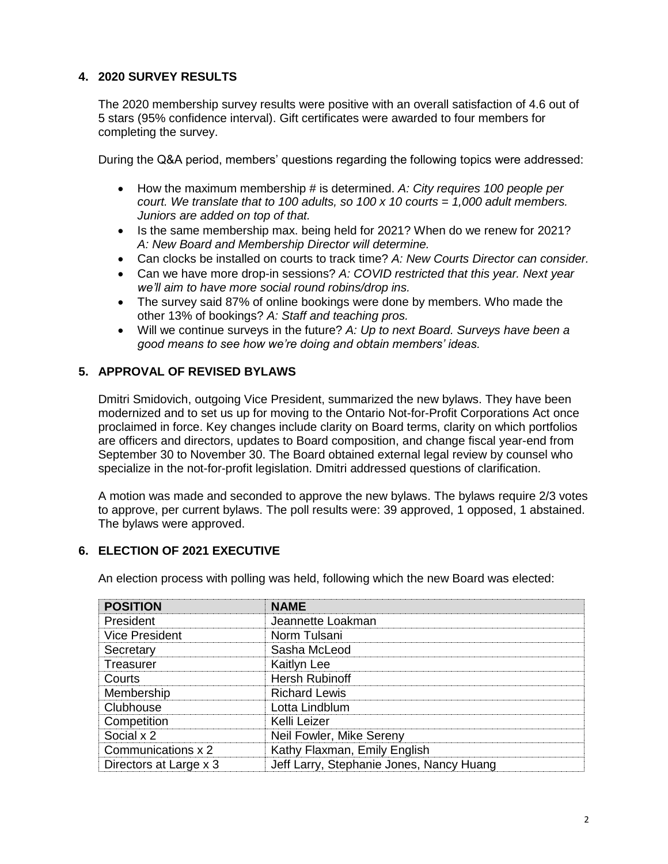# **4. 2020 SURVEY RESULTS**

The 2020 membership survey results were positive with an overall satisfaction of 4.6 out of 5 stars (95% confidence interval). Gift certificates were awarded to four members for completing the survey.

During the Q&A period, members' questions regarding the following topics were addressed:

- How the maximum membership # is determined. *A: City requires 100 people per court. We translate that to 100 adults, so 100 x 10 courts = 1,000 adult members. Juniors are added on top of that.*
- Is the same membership max. being held for 2021? When do we renew for 2021? *A: New Board and Membership Director will determine.*
- Can clocks be installed on courts to track time? *A: New Courts Director can consider.*
- Can we have more drop-in sessions? *A: COVID restricted that this year. Next year we'll aim to have more social round robins/drop ins.*
- The survey said 87% of online bookings were done by members. Who made the other 13% of bookings? *A: Staff and teaching pros.*
- Will we continue surveys in the future? *A: Up to next Board. Surveys have been a good means to see how we're doing and obtain members' ideas.*

# **5. APPROVAL OF REVISED BYLAWS**

Dmitri Smidovich, outgoing Vice President, summarized the new bylaws. They have been modernized and to set us up for moving to the Ontario Not-for-Profit Corporations Act once proclaimed in force. Key changes include clarity on Board terms, clarity on which portfolios are officers and directors, updates to Board composition, and change fiscal year-end from September 30 to November 30. The Board obtained external legal review by counsel who specialize in the not-for-profit legislation. Dmitri addressed questions of clarification.

A motion was made and seconded to approve the new bylaws. The bylaws require 2/3 votes to approve, per current bylaws. The poll results were: 39 approved, 1 opposed, 1 abstained. The bylaws were approved.

### **6. ELECTION OF 2021 EXECUTIVE**

An election process with polling was held, following which the new Board was elected:

| <b>POSITION</b>        | <b>NAME</b>                              |
|------------------------|------------------------------------------|
| President              | Jeannette Loakman                        |
| <b>Vice President</b>  | Norm Tulsani                             |
| Secretary              | Sasha McLeod                             |
| Treasurer              | <b>Kaitlyn Lee</b>                       |
| Courts                 | <b>Hersh Rubinoff</b>                    |
| Membership             | <b>Richard Lewis</b>                     |
| Clubhouse              | Lotta Lindblum                           |
| Competition            | Kelli Leizer                             |
| Social x 2             | Neil Fowler, Mike Sereny                 |
| Communications x 2     | Kathy Flaxman, Emily English             |
| Directors at Large x 3 | Jeff Larry, Stephanie Jones, Nancy Huang |